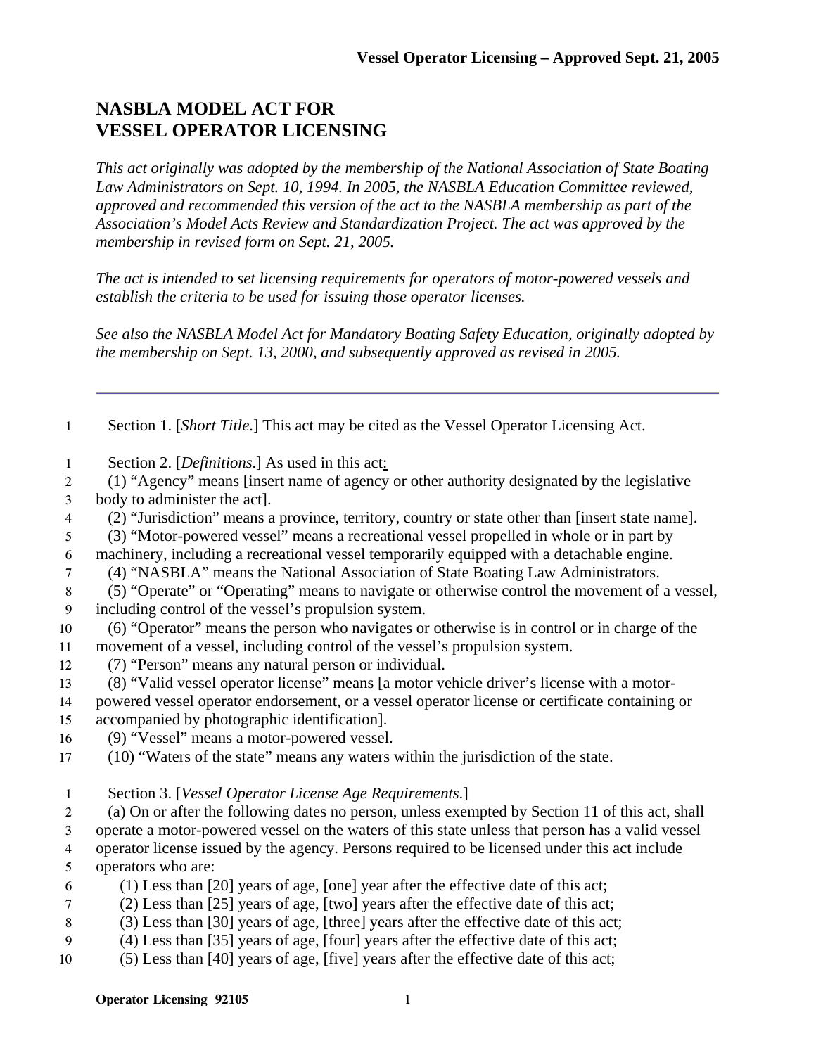## **NASBLA MODEL ACT FOR VESSEL OPERATOR LICENSING**

*This act originally was adopted by the membership of the National Association of State Boating Law Administrators on Sept. 10, 1994. In 2005, the NASBLA Education Committee reviewed, approved and recommended this version of the act to the NASBLA membership as part of the Association's Model Acts Review and Standardization Project. The act was approved by the membership in revised form on Sept. 21, 2005.* 

*The act is intended to set licensing requirements for operators of motor-powered vessels and establish the criteria to be used for issuing those operator licenses.* 

*See also the NASBLA Model Act for Mandatory Boating Safety Education, originally adopted by the membership on Sept. 13, 2000, and subsequently approved as revised in 2005.* 

Section 1. [*Short Title*.] This act may be cited as the Vessel Operator Licensing Act.

Section 2. [*Definitions*.] As used in this act:

(1) "Agency" means [insert name of agency or other authority designated by the legislative body to administer the act].

(2) "Jurisdiction" means a province, territory, country or state other than [insert state name].

(3) "Motor-powered vessel" means a recreational vessel propelled in whole or in part by

machinery, including a recreational vessel temporarily equipped with a detachable engine.

(4) "NASBLA" means the National Association of State Boating Law Administrators.

- (5) "Operate" or "Operating" means to navigate or otherwise control the movement of a vessel, including control of the vessel's propulsion system.
- (6) "Operator" means the person who navigates or otherwise is in control or in charge of the movement of a vessel, including control of the vessel's propulsion system.
- (7) "Person" means any natural person or individual.
- (8) "Valid vessel operator license" means [a motor vehicle driver's license with a motor-powered vessel operator endorsement, or a vessel operator license or certificate containing or
- accompanied by photographic identification].
- (9) "Vessel" means a motor-powered vessel.
- (10) "Waters of the state" means any waters within the jurisdiction of the state.
- Section 3. [*Vessel Operator License Age Requirements*.]

(a) On or after the following dates no person, unless exempted by Section 11 of this act, shall

- operate a motor-powered vessel on the waters of this state unless that person has a valid vessel operator license issued by the agency. Persons required to be licensed under this act include
- operators who are:
- (1) Less than [20] years of age, [one] year after the effective date of this act;
- (2) Less than [25] years of age, [two] years after the effective date of this act;
- (3) Less than [30] years of age, [three] years after the effective date of this act;
- (4) Less than [35] years of age, [four] years after the effective date of this act;
- (5) Less than [40] years of age, [five] years after the effective date of this act;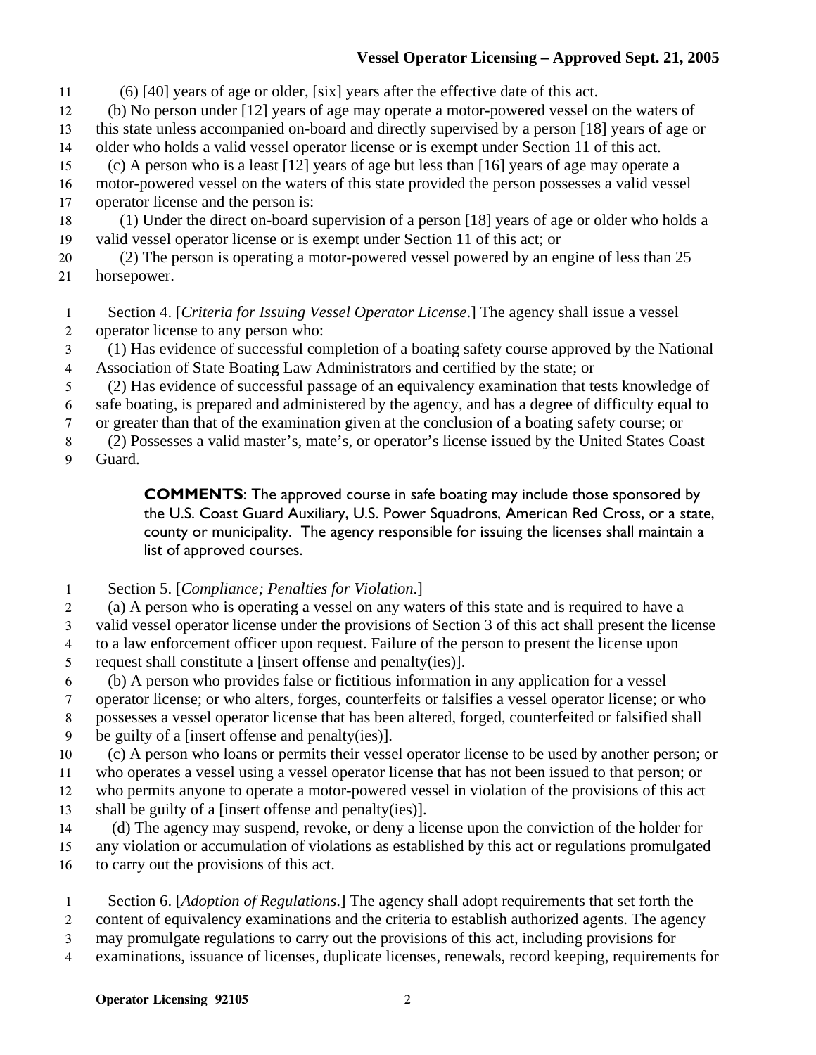## **Vessel Operator Licensing – Approved Sept. 21, 2005**

(6) [40] years of age or older, [six] years after the effective date of this act.

(b) No person under [12] years of age may operate a motor-powered vessel on the waters of this state unless accompanied on-board and directly supervised by a person [18] years of age or

- older who holds a valid vessel operator license or is exempt under Section 11 of this act.
- (c) A person who is a least [12] years of age but less than [16] years of age may operate a
- motor-powered vessel on the waters of this state provided the person possesses a valid vessel operator license and the person is:
- (1) Under the direct on-board supervision of a person [18] years of age or older who holds a valid vessel operator license or is exempt under Section 11 of this act; or
- (2) The person is operating a motor-powered vessel powered by an engine of less than 25 horsepower.
- Section 4. [*Criteria for Issuing Vessel Operator License*.] The agency shall issue a vessel operator license to any person who:
- (1) Has evidence of successful completion of a boating safety course approved by the National Association of State Boating Law Administrators and certified by the state; or
- (2) Has evidence of successful passage of an equivalency examination that tests knowledge of
- safe boating, is prepared and administered by the agency, and has a degree of difficulty equal to
- or greater than that of the examination given at the conclusion of a boating safety course; or
- (2) Possesses a valid master's, mate's, or operator's license issued by the United States Coast
- Guard.

**COMMENTS**: The approved course in safe boating may include those sponsored by the U.S. Coast Guard Auxiliary, U.S. Power Squadrons, American Red Cross, or a state, county or municipality. The agency responsible for issuing the licenses shall maintain a list of approved courses.

- Section 5. [*Compliance; Penalties for Violation*.]
- (a) A person who is operating a vessel on any waters of this state and is required to have a
- valid vessel operator license under the provisions of Section 3 of this act shall present the license to a law enforcement officer upon request. Failure of the person to present the license upon
- request shall constitute a [insert offense and penalty(ies)].
- (b) A person who provides false or fictitious information in any application for a vessel
- operator license; or who alters, forges, counterfeits or falsifies a vessel operator license; or who

possesses a vessel operator license that has been altered, forged, counterfeited or falsified shall be guilty of a [insert offense and penalty(ies)].

- (c) A person who loans or permits their vessel operator license to be used by another person; or who operates a vessel using a vessel operator license that has not been issued to that person; or who permits anyone to operate a motor-powered vessel in violation of the provisions of this act
- shall be guilty of a [insert offense and penalty(ies)].
- (d) The agency may suspend, revoke, or deny a license upon the conviction of the holder for any violation or accumulation of violations as established by this act or regulations promulgated to carry out the provisions of this act.
- Section 6. [*Adoption of Regulations*.] The agency shall adopt requirements that set forth the content of equivalency examinations and the criteria to establish authorized agents. The agency may promulgate regulations to carry out the provisions of this act, including provisions for examinations, issuance of licenses, duplicate licenses, renewals, record keeping, requirements for